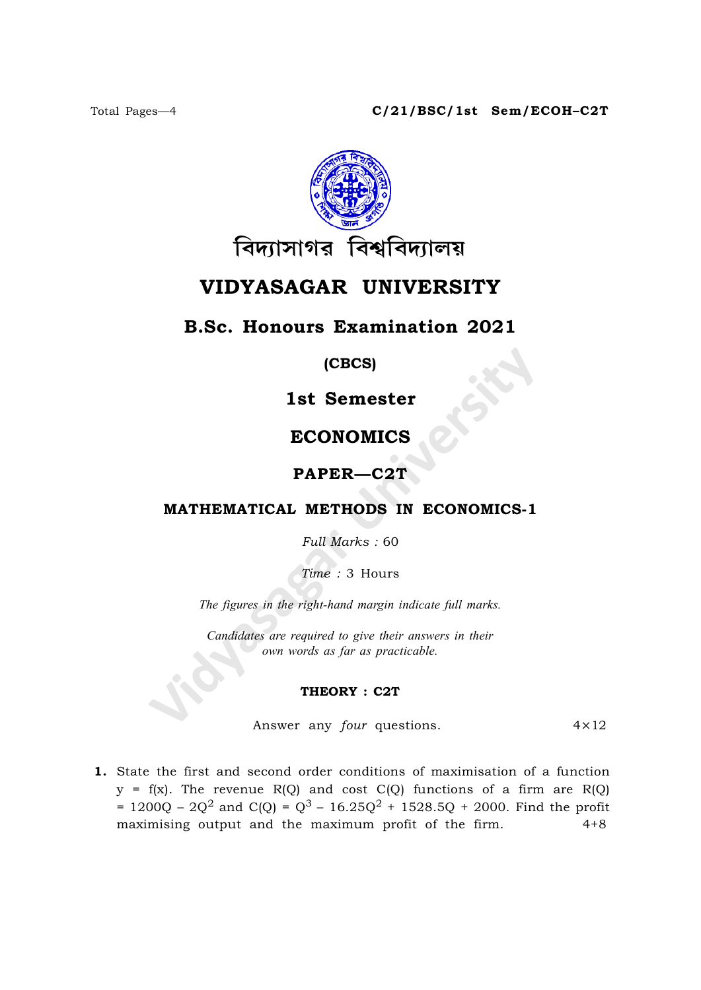

# VIDYASAGAR UNIVERSITY

### B.Sc. Honours Examination 2021

(CBCS)

1st Semester

## ECONOMICS

### PAPER—C2T

### MATHEMATICAL METHODS IN ECONOMICS-1

Full Marks : 60

Time : 3 Hours

The figures in the right-hand margin indicate full marks.

Candidates are required to give their answers in their own words as far as practicable.

#### THEORY : C2T

Answer any *four* questions.  $4 \times 12$ 

1. State the first and second order conditions of maximisation of a function  $y = f(x)$ . The revenue R(Q) and cost C(Q) functions of a firm are R(Q) = 1200Q – 2Q<sup>2</sup> and C(Q) = Q<sup>3</sup> – 16.25Q<sup>2</sup> + 1528.5Q + 2000. Find the profit maximising output and the maximum profit of the firm. 4+8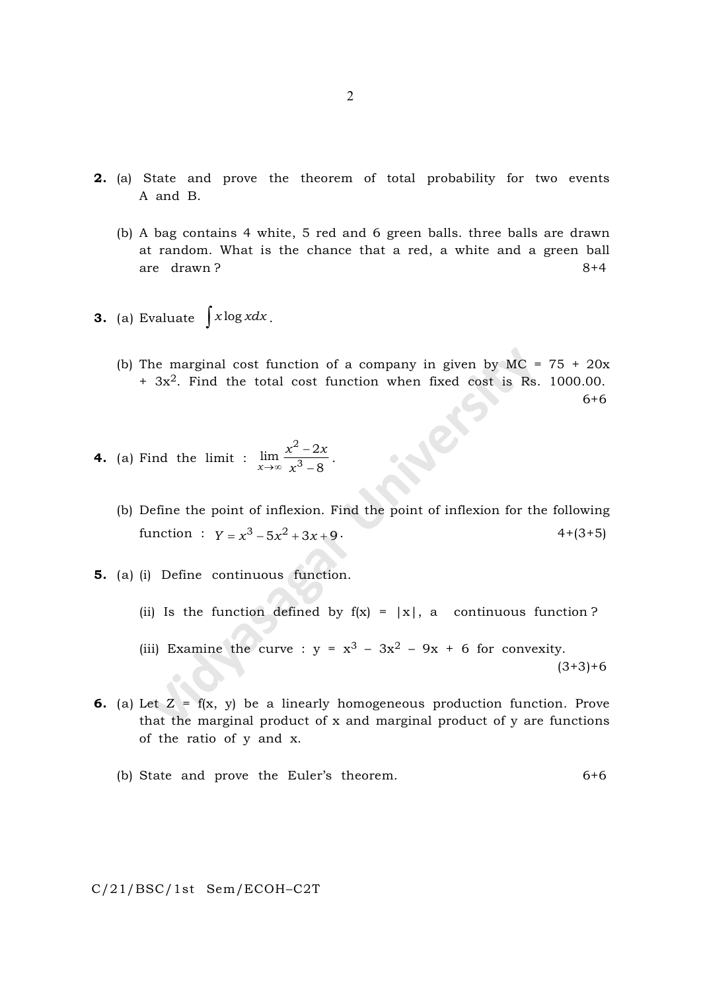- 2. (a) State and prove the theorem of total probability for two events A and B.
	- (b) A bag contains 4 white, 5 red and 6 green balls. three balls are drawn at random. What is the chance that a red, a white and a green ball are drawn? 8+4
- **3.** (a) Evaluate  $\int x \log x dx$ .
	- (b) The marginal cost function of a company in given by  $MC = 75 + 20x$  $+ 3x^2$ . Find the total cost function when fixed cost is Rs. 1000.00. 6+6

**4.** (a) Find the limit :  $\frac{1}{x}$  $x^2-2x$  $\boldsymbol{\chi}$ 2 3  $\lim_{x\to\infty}\frac{x^2-2x}{x^3-8}$  $\overline{a}$  $\frac{1}{-8}$ .

- (b) Define the point of inflexion. Find the point of inflexion for the following function :  $y = x^3 - 5x^2 + 3x + 9$ . 4+(3+5)
- 5. (a) (i) Define continuous function.
	- (ii) Is the function defined by  $f(x) = |x|$ , a continuous function?
	- (iii) Examine the curve :  $y = x^3 3x^2 9x + 6$  for convexity.  $(3+3)+6$
- **6.** (a) Let  $Z = f(x, y)$  be a linearly homogeneous production function. Prove that the marginal product of  $x$  and marginal product of  $y$  are functions of the ratio of y and x.
	- (b) State and prove the Euler's theorem. 6+6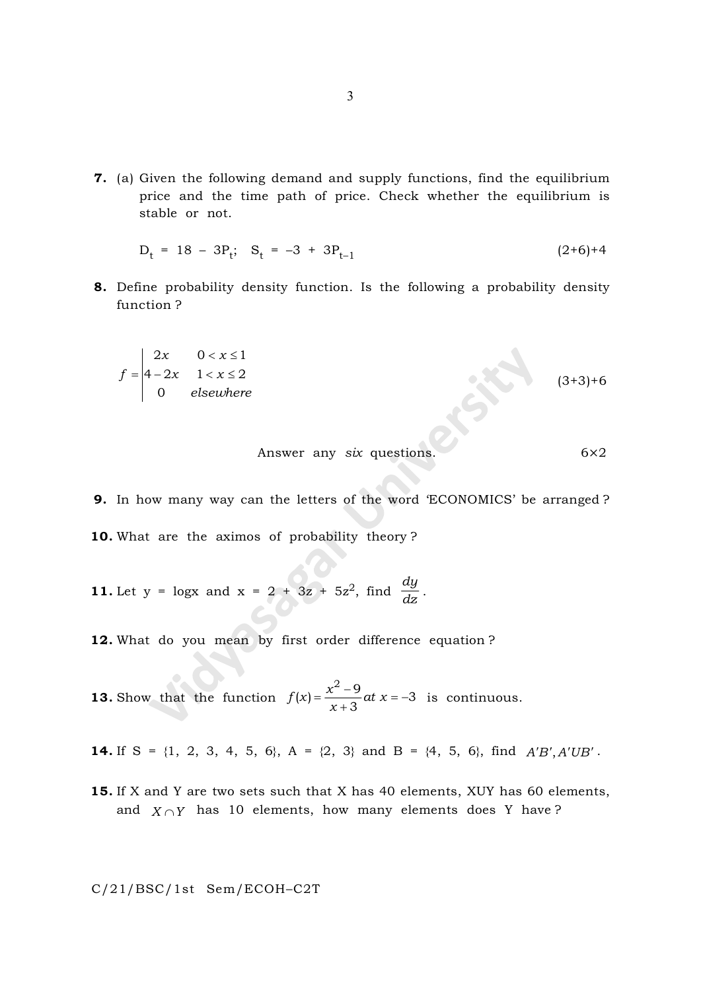7. (a) Given the following demand and supply functions, find the equilibrium price and the time path of price. Check whether the equilibrium is stable or not.

$$
D_t = 18 - 3P_t; S_t = -3 + 3P_{t-1}
$$
 (2+6)+4

8. Define probability density function. Is the following a probability density function ?

$$
f = \begin{vmatrix} 2x & 0 < x \le 1 \\ 4 - 2x & 1 < x \le 2 \\ 0 & \text{elsewhere} \end{vmatrix} \tag{3+3+6}
$$

Answer any 
$$
six
$$
 questions.  $6 \times 2$ 

- 9. In how many way can the letters of the word 'ECONOMICS' be arranged ? 10. What are the aximos of probability theory ?
- **11.** Let y = logx and x = 2 + 3z + 5z<sup>2</sup>, find  $\frac{dy}{dx}$  $\frac{d}{dz}$ .
- 12. What do you mean by first order difference equation ?
- **13.** Show that the function  $f(x) = \frac{x^2-9}{2}at x$ x  $f(x) = \frac{x^2 - 9}{2}$  at  $x = -3$ 3  $=\frac{x^2-9}{x^2}at x= \frac{1}{x+3}$  at  $x=-3$  is continuous.
- **14.** If S =  $\{1, 2, 3, 4, 5, 6\}$ , A =  $\{2, 3\}$  and B =  $\{4, 5, 6\}$ , find  $A'B', A'UB'$ .
- 15. If X and Y are two sets such that X has 40 elements, XUY has 60 elements, and  $X \cap Y$  has 10 elements, how many elements does Y have?

C/21/BSC/1st Sem/ECOH–C2T